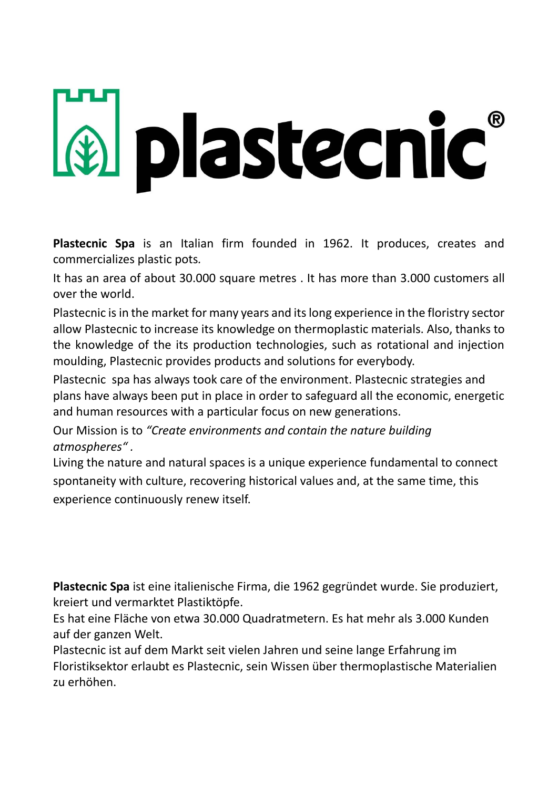## **A** plastecnic

**Plastecnic Spa** is an Italian firm founded in 1962. It produces, creates and commercializes plastic pots*.*

It has an area of about 30.000 square metres . It has more than 3.000 customers all over the world.

Plastecnic is in the market for many years and its long experience in the floristry sector allow Plastecnic to increase its knowledge on thermoplastic materials. Also, thanks to the knowledge of the its production technologies, such as rotational and injection moulding, Plastecnic provides products and solutions for everybody.

Plastecnic spa has always took care of the environment. Plastecnic strategies and plans have always been put in place in order to safeguard all the economic, energetic and human resources with a particular focus on new generations.

Our Mission is to *"Create environments and contain the nature building atmospheres" .*

Living the nature and natural spaces is a unique experience fundamental to connect spontaneity with culture, recovering historical values and, at the same time, this experience continuously renew itself.

**Plastecnic Spa** ist eine italienische Firma, die 1962 gegründet wurde. Sie produziert, kreiert und vermarktet Plastiktöpfe.

Es hat eine Fläche von etwa 30.000 Quadratmetern. Es hat mehr als 3.000 Kunden auf der ganzen Welt.

Plastecnic ist auf dem Markt seit vielen Jahren und seine lange Erfahrung im Floristiksektor erlaubt es Plastecnic, sein Wissen über thermoplastische Materialien zu erhöhen.